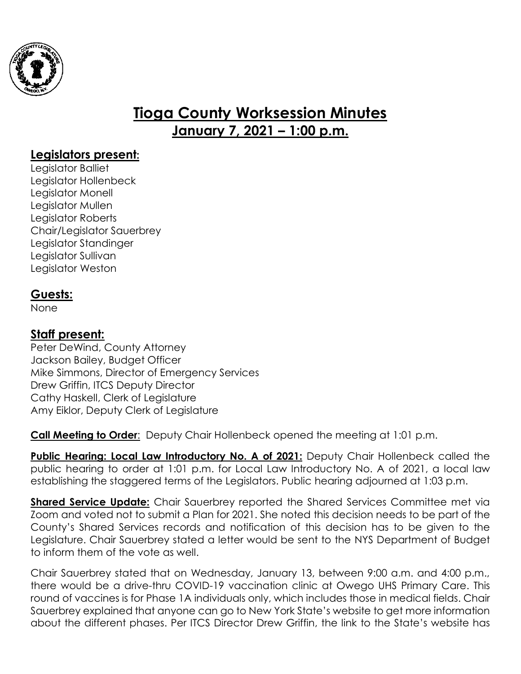

# **Tioga County Worksession Minutes January 7, 2021 – 1:00 p.m.**

## **Legislators present:**

Legislator Balliet Legislator Hollenbeck Legislator Monell Legislator Mullen Legislator Roberts Chair/Legislator Sauerbrey Legislator Standinger Legislator Sullivan Legislator Weston

## **Guests:**

None

## **Staff present:**

Peter DeWind, County Attorney Jackson Bailey, Budget Officer Mike Simmons, Director of Emergency Services Drew Griffin, ITCS Deputy Director Cathy Haskell, Clerk of Legislature Amy Eiklor, Deputy Clerk of Legislature

**Call Meeting to Order:** Deputy Chair Hollenbeck opened the meeting at 1:01 p.m.

**Public Hearing: Local Law Introductory No. A of 2021:** Deputy Chair Hollenbeck called the public hearing to order at 1:01 p.m. for Local Law Introductory No. A of 2021, a local law establishing the staggered terms of the Legislators. Public hearing adjourned at 1:03 p.m.

**Shared Service Update:** Chair Sauerbrey reported the Shared Services Committee met via Zoom and voted not to submit a Plan for 2021. She noted this decision needs to be part of the County's Shared Services records and notification of this decision has to be given to the Legislature. Chair Sauerbrey stated a letter would be sent to the NYS Department of Budget to inform them of the vote as well.

Chair Sauerbrey stated that on Wednesday, January 13, between 9:00 a.m. and 4:00 p.m., there would be a drive-thru COVID-19 vaccination clinic at Owego UHS Primary Care. This round of vaccines is for Phase 1A individuals only, which includes those in medical fields. Chair Sauerbrey explained that anyone can go to New York State's website to get more information about the different phases. Per ITCS Director Drew Griffin, the link to the State's website has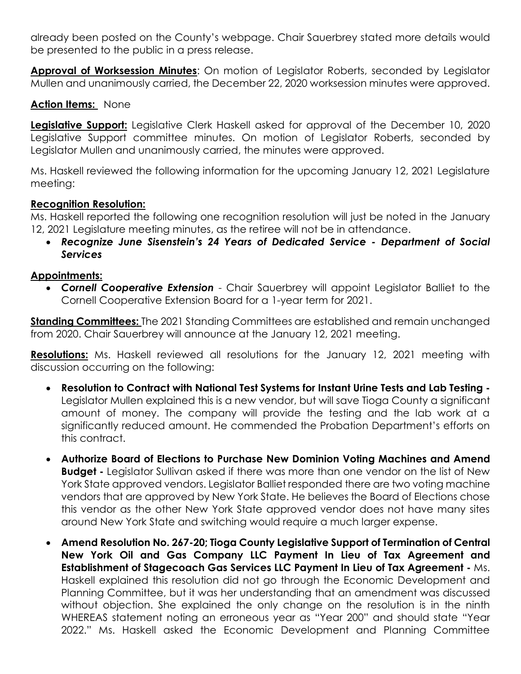already been posted on the County's webpage. Chair Sauerbrey stated more details would be presented to the public in a press release.

**Approval of Worksession Minutes**: On motion of Legislator Roberts, seconded by Legislator Mullen and unanimously carried, the December 22, 2020 worksession minutes were approved.

#### **Action Items:** None

**Legislative Support:** Legislative Clerk Haskell asked for approval of the December 10, 2020 Legislative Support committee minutes. On motion of Legislator Roberts, seconded by Legislator Mullen and unanimously carried, the minutes were approved.

Ms. Haskell reviewed the following information for the upcoming January 12, 2021 Legislature meeting:

#### **Recognition Resolution:**

Ms. Haskell reported the following one recognition resolution will just be noted in the January 12, 2021 Legislature meeting minutes, as the retiree will not be in attendance.

 *Recognize June Sisenstein's 24 Years of Dedicated Service - Department of Social Services*

### **Appointments:**

 *Cornell Cooperative Extension* - Chair Sauerbrey will appoint Legislator Balliet to the Cornell Cooperative Extension Board for a 1-year term for 2021.

**Standing Committees:** The 2021 Standing Committees are established and remain unchanged from 2020. Chair Sauerbrey will announce at the January 12, 2021 meeting.

**Resolutions:** Ms. Haskell reviewed all resolutions for the January 12, 2021 meeting with discussion occurring on the following:

- **Resolution to Contract with National Test Systems for Instant Urine Tests and Lab Testing -** Legislator Mullen explained this is a new vendor, but will save Tioga County a significant amount of money. The company will provide the testing and the lab work at a significantly reduced amount. He commended the Probation Department's efforts on this contract.
- **Authorize Board of Elections to Purchase New Dominion Voting Machines and Amend Budget -** Legislator Sullivan asked if there was more than one vendor on the list of New York State approved vendors. Legislator Balliet responded there are two voting machine vendors that are approved by New York State. He believes the Board of Elections chose this vendor as the other New York State approved vendor does not have many sites around New York State and switching would require a much larger expense.
- **Amend Resolution No. 267-20; Tioga County Legislative Support of Termination of Central New York Oil and Gas Company LLC Payment In Lieu of Tax Agreement and Establishment of Stagecoach Gas Services LLC Payment In Lieu of Tax Agreement -** Ms. Haskell explained this resolution did not go through the Economic Development and Planning Committee, but it was her understanding that an amendment was discussed without objection. She explained the only change on the resolution is in the ninth WHEREAS statement noting an erroneous year as "Year 200" and should state "Year 2022." Ms. Haskell asked the Economic Development and Planning Committee